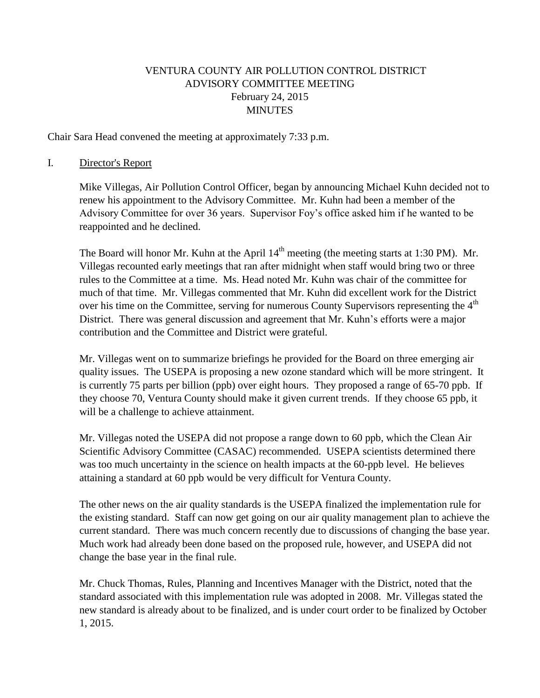# VENTURA COUNTY AIR POLLUTION CONTROL DISTRICT ADVISORY COMMITTEE MEETING February 24, 2015 MINUTES

Chair Sara Head convened the meeting at approximately 7:33 p.m.

#### I. Director's Report

Mike Villegas, Air Pollution Control Officer, began by announcing Michael Kuhn decided not to renew his appointment to the Advisory Committee. Mr. Kuhn had been a member of the Advisory Committee for over 36 years. Supervisor Foy's office asked him if he wanted to be reappointed and he declined.

The Board will honor Mr. Kuhn at the April  $14<sup>th</sup>$  meeting (the meeting starts at 1:30 PM). Mr. Villegas recounted early meetings that ran after midnight when staff would bring two or three rules to the Committee at a time. Ms. Head noted Mr. Kuhn was chair of the committee for much of that time. Mr. Villegas commented that Mr. Kuhn did excellent work for the District over his time on the Committee, serving for numerous County Supervisors representing the  $4<sup>th</sup>$ District. There was general discussion and agreement that Mr. Kuhn's efforts were a major contribution and the Committee and District were grateful.

Mr. Villegas went on to summarize briefings he provided for the Board on three emerging air quality issues. The USEPA is proposing a new ozone standard which will be more stringent. It is currently 75 parts per billion (ppb) over eight hours. They proposed a range of 65-70 ppb. If they choose 70, Ventura County should make it given current trends. If they choose 65 ppb, it will be a challenge to achieve attainment.

Mr. Villegas noted the USEPA did not propose a range down to 60 ppb, which the Clean Air Scientific Advisory Committee (CASAC) recommended. USEPA scientists determined there was too much uncertainty in the science on health impacts at the 60-ppb level. He believes attaining a standard at 60 ppb would be very difficult for Ventura County.

The other news on the air quality standards is the USEPA finalized the implementation rule for the existing standard. Staff can now get going on our air quality management plan to achieve the current standard. There was much concern recently due to discussions of changing the base year. Much work had already been done based on the proposed rule, however, and USEPA did not change the base year in the final rule.

Mr. Chuck Thomas, Rules, Planning and Incentives Manager with the District, noted that the standard associated with this implementation rule was adopted in 2008. Mr. Villegas stated the new standard is already about to be finalized, and is under court order to be finalized by October 1, 2015.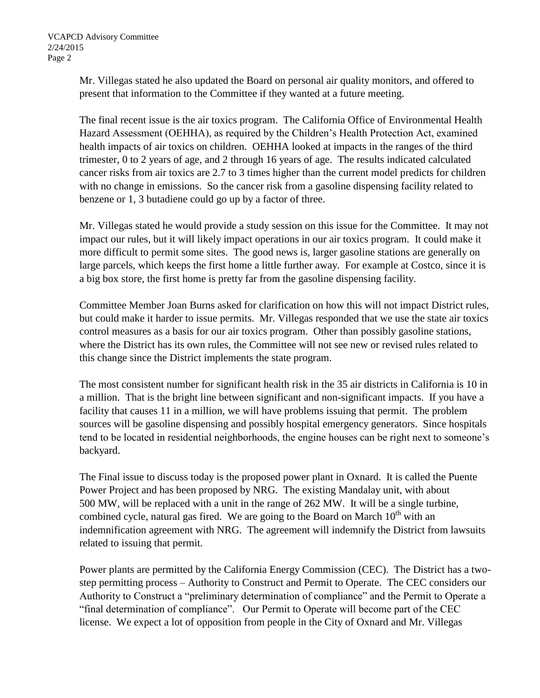Mr. Villegas stated he also updated the Board on personal air quality monitors, and offered to present that information to the Committee if they wanted at a future meeting.

The final recent issue is the air toxics program. The California Office of Environmental Health Hazard Assessment (OEHHA), as required by the Children's Health Protection Act, examined health impacts of air toxics on children. OEHHA looked at impacts in the ranges of the third trimester, 0 to 2 years of age, and 2 through 16 years of age. The results indicated calculated cancer risks from air toxics are 2.7 to 3 times higher than the current model predicts for children with no change in emissions. So the cancer risk from a gasoline dispensing facility related to benzene or 1, 3 butadiene could go up by a factor of three.

Mr. Villegas stated he would provide a study session on this issue for the Committee. It may not impact our rules, but it will likely impact operations in our air toxics program. It could make it more difficult to permit some sites. The good news is, larger gasoline stations are generally on large parcels, which keeps the first home a little further away. For example at Costco, since it is a big box store, the first home is pretty far from the gasoline dispensing facility.

Committee Member Joan Burns asked for clarification on how this will not impact District rules, but could make it harder to issue permits. Mr. Villegas responded that we use the state air toxics control measures as a basis for our air toxics program. Other than possibly gasoline stations, where the District has its own rules, the Committee will not see new or revised rules related to this change since the District implements the state program.

The most consistent number for significant health risk in the 35 air districts in California is 10 in a million. That is the bright line between significant and non-significant impacts. If you have a facility that causes 11 in a million, we will have problems issuing that permit. The problem sources will be gasoline dispensing and possibly hospital emergency generators. Since hospitals tend to be located in residential neighborhoods, the engine houses can be right next to someone's backyard.

The Final issue to discuss today is the proposed power plant in Oxnard. It is called the Puente Power Project and has been proposed by NRG. The existing Mandalay unit, with about 500 MW, will be replaced with a unit in the range of 262 MW. It will be a single turbine, combined cycle, natural gas fired. We are going to the Board on March  $10<sup>th</sup>$  with an indemnification agreement with NRG. The agreement will indemnify the District from lawsuits related to issuing that permit.

Power plants are permitted by the California Energy Commission (CEC). The District has a twostep permitting process – Authority to Construct and Permit to Operate. The CEC considers our Authority to Construct a "preliminary determination of compliance" and the Permit to Operate a "final determination of compliance". Our Permit to Operate will become part of the CEC license. We expect a lot of opposition from people in the City of Oxnard and Mr. Villegas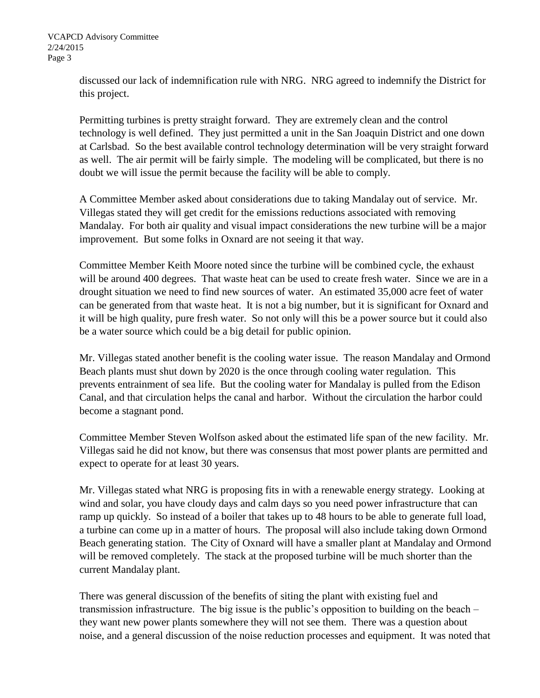discussed our lack of indemnification rule with NRG. NRG agreed to indemnify the District for this project.

Permitting turbines is pretty straight forward. They are extremely clean and the control technology is well defined. They just permitted a unit in the San Joaquin District and one down at Carlsbad. So the best available control technology determination will be very straight forward as well. The air permit will be fairly simple. The modeling will be complicated, but there is no doubt we will issue the permit because the facility will be able to comply.

A Committee Member asked about considerations due to taking Mandalay out of service. Mr. Villegas stated they will get credit for the emissions reductions associated with removing Mandalay. For both air quality and visual impact considerations the new turbine will be a major improvement. But some folks in Oxnard are not seeing it that way.

Committee Member Keith Moore noted since the turbine will be combined cycle, the exhaust will be around 400 degrees. That waste heat can be used to create fresh water. Since we are in a drought situation we need to find new sources of water. An estimated 35,000 acre feet of water can be generated from that waste heat. It is not a big number, but it is significant for Oxnard and it will be high quality, pure fresh water. So not only will this be a power source but it could also be a water source which could be a big detail for public opinion.

Mr. Villegas stated another benefit is the cooling water issue. The reason Mandalay and Ormond Beach plants must shut down by 2020 is the once through cooling water regulation. This prevents entrainment of sea life. But the cooling water for Mandalay is pulled from the Edison Canal, and that circulation helps the canal and harbor. Without the circulation the harbor could become a stagnant pond.

Committee Member Steven Wolfson asked about the estimated life span of the new facility. Mr. Villegas said he did not know, but there was consensus that most power plants are permitted and expect to operate for at least 30 years.

Mr. Villegas stated what NRG is proposing fits in with a renewable energy strategy. Looking at wind and solar, you have cloudy days and calm days so you need power infrastructure that can ramp up quickly. So instead of a boiler that takes up to 48 hours to be able to generate full load, a turbine can come up in a matter of hours. The proposal will also include taking down Ormond Beach generating station. The City of Oxnard will have a smaller plant at Mandalay and Ormond will be removed completely. The stack at the proposed turbine will be much shorter than the current Mandalay plant.

There was general discussion of the benefits of siting the plant with existing fuel and transmission infrastructure. The big issue is the public's opposition to building on the beach – they want new power plants somewhere they will not see them. There was a question about noise, and a general discussion of the noise reduction processes and equipment. It was noted that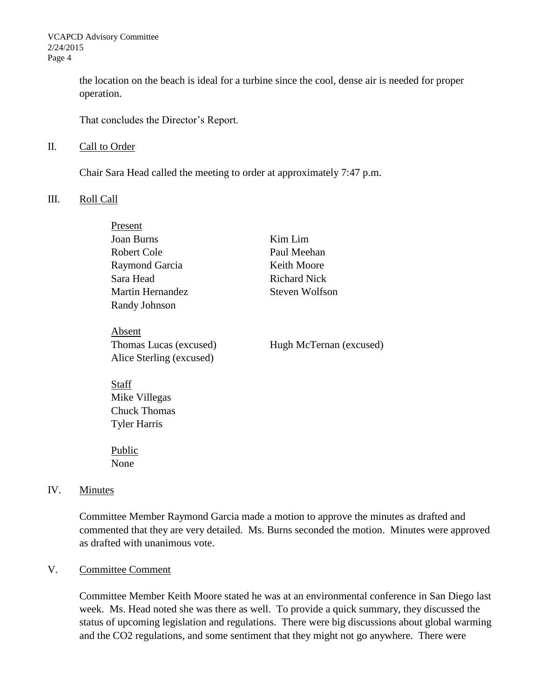the location on the beach is ideal for a turbine since the cool, dense air is needed for proper operation.

That concludes the Director's Report.

#### II. Call to Order

Chair Sara Head called the meeting to order at approximately 7:47 p.m.

#### III. Roll Call

| Present                  |                         |
|--------------------------|-------------------------|
| Joan Burns               | Kim Lim                 |
| Robert Cole              | Paul Meehan             |
| Raymond Garcia           | Keith Moore             |
| Sara Head                | <b>Richard Nick</b>     |
| Martin Hernandez         | Steven Wolfson          |
| Randy Johnson            |                         |
| Absent                   |                         |
| Thomas Lucas (excused)   | Hugh McTernan (excused) |
| Alice Sterling (excused) |                         |
| tai                      |                         |

Mike Villegas Chuck Thomas Tyler Harris

Public None

#### IV. Minutes

Committee Member Raymond Garcia made a motion to approve the minutes as drafted and commented that they are very detailed. Ms. Burns seconded the motion. Minutes were approved as drafted with unanimous vote.

## V. Committee Comment

Committee Member Keith Moore stated he was at an environmental conference in San Diego last week. Ms. Head noted she was there as well. To provide a quick summary, they discussed the status of upcoming legislation and regulations. There were big discussions about global warming and the CO2 regulations, and some sentiment that they might not go anywhere. There were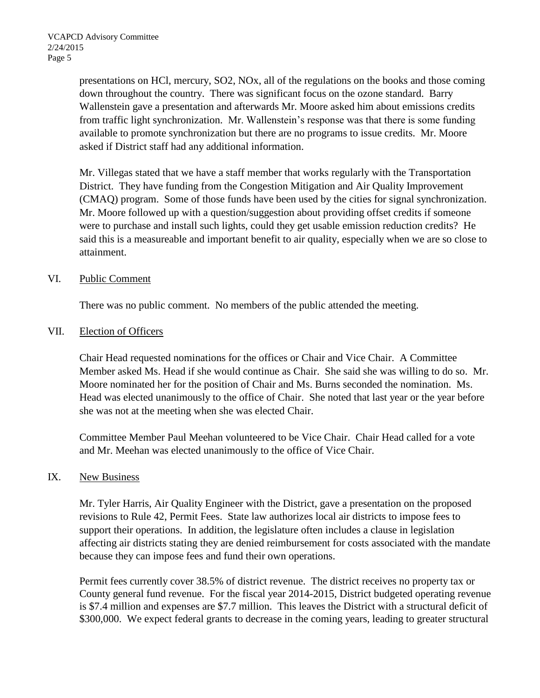presentations on HCl, mercury, SO2, NOx, all of the regulations on the books and those coming down throughout the country. There was significant focus on the ozone standard. Barry Wallenstein gave a presentation and afterwards Mr. Moore asked him about emissions credits from traffic light synchronization. Mr. Wallenstein's response was that there is some funding available to promote synchronization but there are no programs to issue credits. Mr. Moore asked if District staff had any additional information.

Mr. Villegas stated that we have a staff member that works regularly with the Transportation District. They have funding from the Congestion Mitigation and Air Quality Improvement (CMAQ) program. Some of those funds have been used by the cities for signal synchronization. Mr. Moore followed up with a question/suggestion about providing offset credits if someone were to purchase and install such lights, could they get usable emission reduction credits? He said this is a measureable and important benefit to air quality, especially when we are so close to attainment.

### VI. Public Comment

There was no public comment. No members of the public attended the meeting.

#### VII. Election of Officers

Chair Head requested nominations for the offices or Chair and Vice Chair. A Committee Member asked Ms. Head if she would continue as Chair. She said she was willing to do so. Mr. Moore nominated her for the position of Chair and Ms. Burns seconded the nomination. Ms. Head was elected unanimously to the office of Chair. She noted that last year or the year before she was not at the meeting when she was elected Chair.

Committee Member Paul Meehan volunteered to be Vice Chair. Chair Head called for a vote and Mr. Meehan was elected unanimously to the office of Vice Chair.

#### IX. New Business

Mr. Tyler Harris, Air Quality Engineer with the District, gave a presentation on the proposed revisions to Rule 42, Permit Fees. State law authorizes local air districts to impose fees to support their operations. In addition, the legislature often includes a clause in legislation affecting air districts stating they are denied reimbursement for costs associated with the mandate because they can impose fees and fund their own operations.

Permit fees currently cover 38.5% of district revenue. The district receives no property tax or County general fund revenue. For the fiscal year 2014-2015, District budgeted operating revenue is \$7.4 million and expenses are \$7.7 million. This leaves the District with a structural deficit of \$300,000. We expect federal grants to decrease in the coming years, leading to greater structural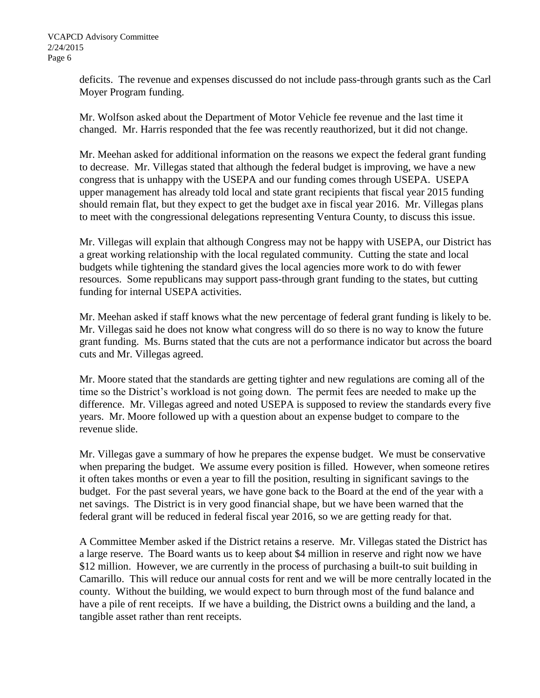deficits. The revenue and expenses discussed do not include pass-through grants such as the Carl Moyer Program funding.

Mr. Wolfson asked about the Department of Motor Vehicle fee revenue and the last time it changed. Mr. Harris responded that the fee was recently reauthorized, but it did not change.

Mr. Meehan asked for additional information on the reasons we expect the federal grant funding to decrease. Mr. Villegas stated that although the federal budget is improving, we have a new congress that is unhappy with the USEPA and our funding comes through USEPA. USEPA upper management has already told local and state grant recipients that fiscal year 2015 funding should remain flat, but they expect to get the budget axe in fiscal year 2016. Mr. Villegas plans to meet with the congressional delegations representing Ventura County, to discuss this issue.

Mr. Villegas will explain that although Congress may not be happy with USEPA, our District has a great working relationship with the local regulated community. Cutting the state and local budgets while tightening the standard gives the local agencies more work to do with fewer resources. Some republicans may support pass-through grant funding to the states, but cutting funding for internal USEPA activities.

Mr. Meehan asked if staff knows what the new percentage of federal grant funding is likely to be. Mr. Villegas said he does not know what congress will do so there is no way to know the future grant funding. Ms. Burns stated that the cuts are not a performance indicator but across the board cuts and Mr. Villegas agreed.

Mr. Moore stated that the standards are getting tighter and new regulations are coming all of the time so the District's workload is not going down. The permit fees are needed to make up the difference. Mr. Villegas agreed and noted USEPA is supposed to review the standards every five years. Mr. Moore followed up with a question about an expense budget to compare to the revenue slide.

Mr. Villegas gave a summary of how he prepares the expense budget. We must be conservative when preparing the budget. We assume every position is filled. However, when someone retires it often takes months or even a year to fill the position, resulting in significant savings to the budget. For the past several years, we have gone back to the Board at the end of the year with a net savings. The District is in very good financial shape, but we have been warned that the federal grant will be reduced in federal fiscal year 2016, so we are getting ready for that.

A Committee Member asked if the District retains a reserve. Mr. Villegas stated the District has a large reserve. The Board wants us to keep about \$4 million in reserve and right now we have \$12 million. However, we are currently in the process of purchasing a built-to suit building in Camarillo. This will reduce our annual costs for rent and we will be more centrally located in the county. Without the building, we would expect to burn through most of the fund balance and have a pile of rent receipts. If we have a building, the District owns a building and the land, a tangible asset rather than rent receipts.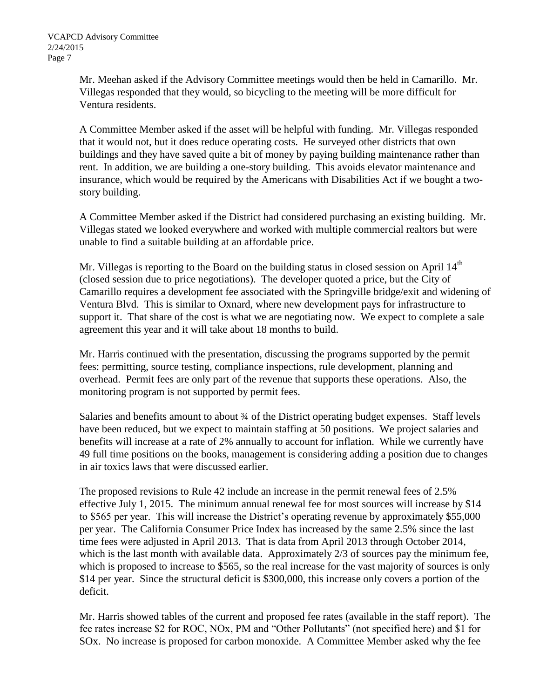Mr. Meehan asked if the Advisory Committee meetings would then be held in Camarillo. Mr. Villegas responded that they would, so bicycling to the meeting will be more difficult for Ventura residents.

A Committee Member asked if the asset will be helpful with funding. Mr. Villegas responded that it would not, but it does reduce operating costs. He surveyed other districts that own buildings and they have saved quite a bit of money by paying building maintenance rather than rent. In addition, we are building a one-story building. This avoids elevator maintenance and insurance, which would be required by the Americans with Disabilities Act if we bought a twostory building.

A Committee Member asked if the District had considered purchasing an existing building. Mr. Villegas stated we looked everywhere and worked with multiple commercial realtors but were unable to find a suitable building at an affordable price.

Mr. Villegas is reporting to the Board on the building status in closed session on April  $14<sup>th</sup>$ (closed session due to price negotiations). The developer quoted a price, but the City of Camarillo requires a development fee associated with the Springville bridge/exit and widening of Ventura Blvd. This is similar to Oxnard, where new development pays for infrastructure to support it. That share of the cost is what we are negotiating now. We expect to complete a sale agreement this year and it will take about 18 months to build.

Mr. Harris continued with the presentation, discussing the programs supported by the permit fees: permitting, source testing, compliance inspections, rule development, planning and overhead. Permit fees are only part of the revenue that supports these operations. Also, the monitoring program is not supported by permit fees.

Salaries and benefits amount to about 3⁄4 of the District operating budget expenses. Staff levels have been reduced, but we expect to maintain staffing at 50 positions. We project salaries and benefits will increase at a rate of 2% annually to account for inflation. While we currently have 49 full time positions on the books, management is considering adding a position due to changes in air toxics laws that were discussed earlier.

The proposed revisions to Rule 42 include an increase in the permit renewal fees of 2.5% effective July 1, 2015. The minimum annual renewal fee for most sources will increase by \$14 to \$565 per year. This will increase the District's operating revenue by approximately \$55,000 per year. The California Consumer Price Index has increased by the same 2.5% since the last time fees were adjusted in April 2013. That is data from April 2013 through October 2014, which is the last month with available data. Approximately  $2/3$  of sources pay the minimum fee, which is proposed to increase to \$565, so the real increase for the vast majority of sources is only \$14 per year. Since the structural deficit is \$300,000, this increase only covers a portion of the deficit.

Mr. Harris showed tables of the current and proposed fee rates (available in the staff report). The fee rates increase \$2 for ROC, NOx, PM and "Other Pollutants" (not specified here) and \$1 for SOx. No increase is proposed for carbon monoxide. A Committee Member asked why the fee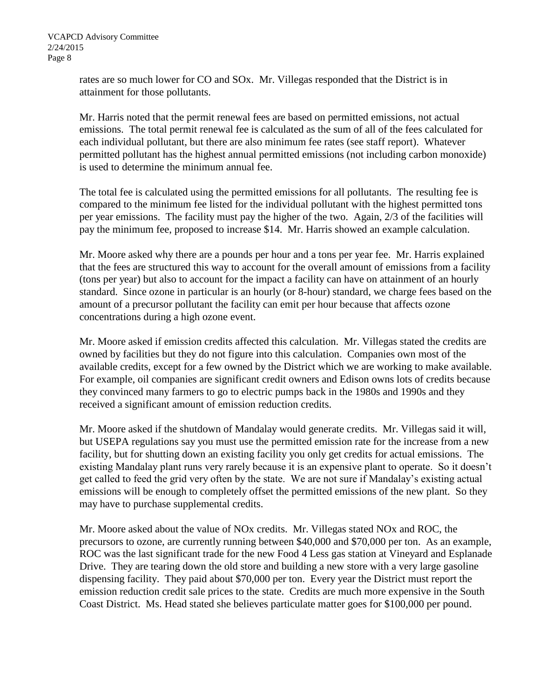rates are so much lower for CO and SOx. Mr. Villegas responded that the District is in attainment for those pollutants.

Mr. Harris noted that the permit renewal fees are based on permitted emissions, not actual emissions. The total permit renewal fee is calculated as the sum of all of the fees calculated for each individual pollutant, but there are also minimum fee rates (see staff report). Whatever permitted pollutant has the highest annual permitted emissions (not including carbon monoxide) is used to determine the minimum annual fee.

The total fee is calculated using the permitted emissions for all pollutants. The resulting fee is compared to the minimum fee listed for the individual pollutant with the highest permitted tons per year emissions. The facility must pay the higher of the two. Again, 2/3 of the facilities will pay the minimum fee, proposed to increase \$14. Mr. Harris showed an example calculation.

Mr. Moore asked why there are a pounds per hour and a tons per year fee. Mr. Harris explained that the fees are structured this way to account for the overall amount of emissions from a facility (tons per year) but also to account for the impact a facility can have on attainment of an hourly standard. Since ozone in particular is an hourly (or 8-hour) standard, we charge fees based on the amount of a precursor pollutant the facility can emit per hour because that affects ozone concentrations during a high ozone event.

Mr. Moore asked if emission credits affected this calculation. Mr. Villegas stated the credits are owned by facilities but they do not figure into this calculation. Companies own most of the available credits, except for a few owned by the District which we are working to make available. For example, oil companies are significant credit owners and Edison owns lots of credits because they convinced many farmers to go to electric pumps back in the 1980s and 1990s and they received a significant amount of emission reduction credits.

Mr. Moore asked if the shutdown of Mandalay would generate credits. Mr. Villegas said it will, but USEPA regulations say you must use the permitted emission rate for the increase from a new facility, but for shutting down an existing facility you only get credits for actual emissions. The existing Mandalay plant runs very rarely because it is an expensive plant to operate. So it doesn't get called to feed the grid very often by the state. We are not sure if Mandalay's existing actual emissions will be enough to completely offset the permitted emissions of the new plant. So they may have to purchase supplemental credits.

Mr. Moore asked about the value of NOx credits. Mr. Villegas stated NOx and ROC, the precursors to ozone, are currently running between \$40,000 and \$70,000 per ton. As an example, ROC was the last significant trade for the new Food 4 Less gas station at Vineyard and Esplanade Drive. They are tearing down the old store and building a new store with a very large gasoline dispensing facility. They paid about \$70,000 per ton. Every year the District must report the emission reduction credit sale prices to the state. Credits are much more expensive in the South Coast District. Ms. Head stated she believes particulate matter goes for \$100,000 per pound.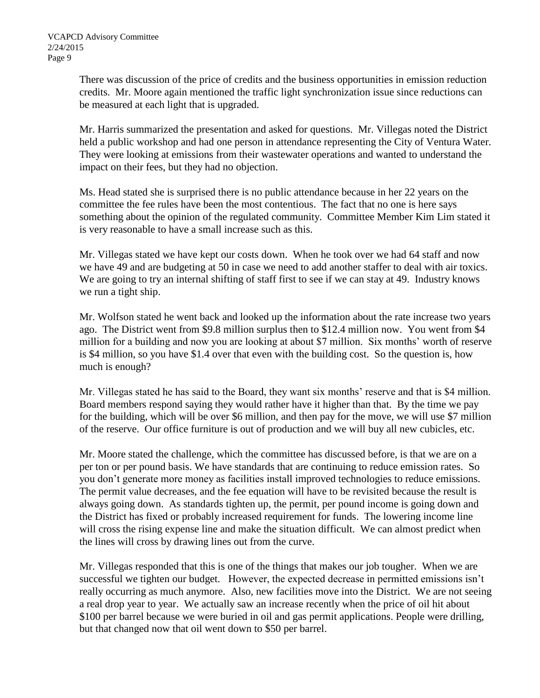There was discussion of the price of credits and the business opportunities in emission reduction credits. Mr. Moore again mentioned the traffic light synchronization issue since reductions can be measured at each light that is upgraded.

Mr. Harris summarized the presentation and asked for questions. Mr. Villegas noted the District held a public workshop and had one person in attendance representing the City of Ventura Water. They were looking at emissions from their wastewater operations and wanted to understand the impact on their fees, but they had no objection.

Ms. Head stated she is surprised there is no public attendance because in her 22 years on the committee the fee rules have been the most contentious. The fact that no one is here says something about the opinion of the regulated community. Committee Member Kim Lim stated it is very reasonable to have a small increase such as this.

Mr. Villegas stated we have kept our costs down. When he took over we had 64 staff and now we have 49 and are budgeting at 50 in case we need to add another staffer to deal with air toxics. We are going to try an internal shifting of staff first to see if we can stay at 49. Industry knows we run a tight ship.

Mr. Wolfson stated he went back and looked up the information about the rate increase two years ago. The District went from \$9.8 million surplus then to \$12.4 million now. You went from \$4 million for a building and now you are looking at about \$7 million. Six months' worth of reserve is \$4 million, so you have \$1.4 over that even with the building cost. So the question is, how much is enough?

Mr. Villegas stated he has said to the Board, they want six months' reserve and that is \$4 million. Board members respond saying they would rather have it higher than that. By the time we pay for the building, which will be over \$6 million, and then pay for the move, we will use \$7 million of the reserve. Our office furniture is out of production and we will buy all new cubicles, etc.

Mr. Moore stated the challenge, which the committee has discussed before, is that we are on a per ton or per pound basis. We have standards that are continuing to reduce emission rates. So you don't generate more money as facilities install improved technologies to reduce emissions. The permit value decreases, and the fee equation will have to be revisited because the result is always going down. As standards tighten up, the permit, per pound income is going down and the District has fixed or probably increased requirement for funds. The lowering income line will cross the rising expense line and make the situation difficult. We can almost predict when the lines will cross by drawing lines out from the curve.

Mr. Villegas responded that this is one of the things that makes our job tougher. When we are successful we tighten our budget. However, the expected decrease in permitted emissions isn't really occurring as much anymore. Also, new facilities move into the District. We are not seeing a real drop year to year. We actually saw an increase recently when the price of oil hit about \$100 per barrel because we were buried in oil and gas permit applications. People were drilling, but that changed now that oil went down to \$50 per barrel.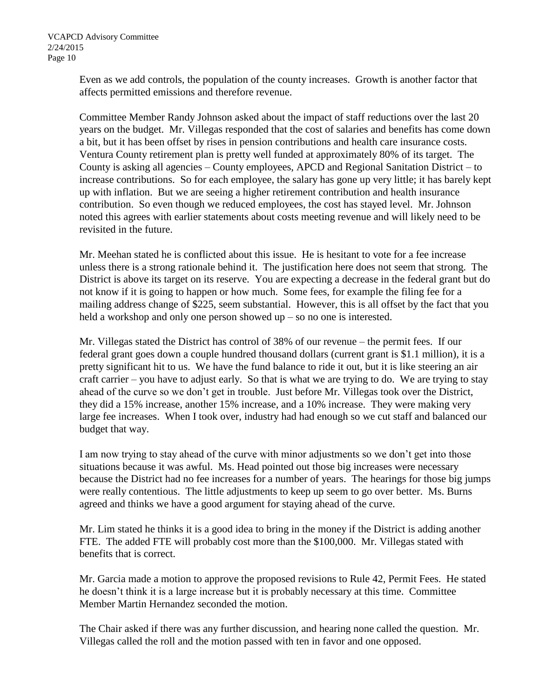Even as we add controls, the population of the county increases. Growth is another factor that affects permitted emissions and therefore revenue.

Committee Member Randy Johnson asked about the impact of staff reductions over the last 20 years on the budget. Mr. Villegas responded that the cost of salaries and benefits has come down a bit, but it has been offset by rises in pension contributions and health care insurance costs. Ventura County retirement plan is pretty well funded at approximately 80% of its target. The County is asking all agencies – County employees, APCD and Regional Sanitation District – to increase contributions. So for each employee, the salary has gone up very little; it has barely kept up with inflation. But we are seeing a higher retirement contribution and health insurance contribution. So even though we reduced employees, the cost has stayed level. Mr. Johnson noted this agrees with earlier statements about costs meeting revenue and will likely need to be revisited in the future.

Mr. Meehan stated he is conflicted about this issue. He is hesitant to vote for a fee increase unless there is a strong rationale behind it. The justification here does not seem that strong. The District is above its target on its reserve. You are expecting a decrease in the federal grant but do not know if it is going to happen or how much. Some fees, for example the filing fee for a mailing address change of \$225, seem substantial. However, this is all offset by the fact that you held a workshop and only one person showed up – so no one is interested.

Mr. Villegas stated the District has control of 38% of our revenue – the permit fees. If our federal grant goes down a couple hundred thousand dollars (current grant is \$1.1 million), it is a pretty significant hit to us. We have the fund balance to ride it out, but it is like steering an air craft carrier – you have to adjust early. So that is what we are trying to do. We are trying to stay ahead of the curve so we don't get in trouble. Just before Mr. Villegas took over the District, they did a 15% increase, another 15% increase, and a 10% increase. They were making very large fee increases. When I took over, industry had had enough so we cut staff and balanced our budget that way.

I am now trying to stay ahead of the curve with minor adjustments so we don't get into those situations because it was awful. Ms. Head pointed out those big increases were necessary because the District had no fee increases for a number of years. The hearings for those big jumps were really contentious. The little adjustments to keep up seem to go over better. Ms. Burns agreed and thinks we have a good argument for staying ahead of the curve.

Mr. Lim stated he thinks it is a good idea to bring in the money if the District is adding another FTE. The added FTE will probably cost more than the \$100,000. Mr. Villegas stated with benefits that is correct.

Mr. Garcia made a motion to approve the proposed revisions to Rule 42, Permit Fees. He stated he doesn't think it is a large increase but it is probably necessary at this time. Committee Member Martin Hernandez seconded the motion.

The Chair asked if there was any further discussion, and hearing none called the question. Mr. Villegas called the roll and the motion passed with ten in favor and one opposed.